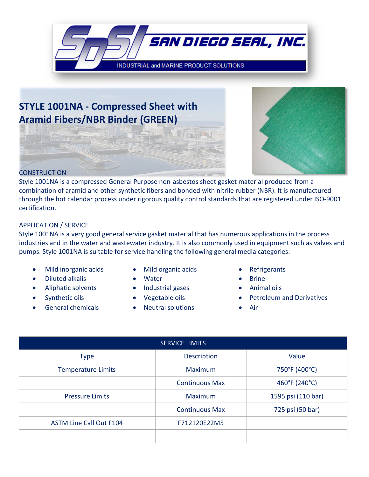

# **STYLE 1001NA - Compressed Sheet with Aramid Fibers/NBR Binder (GREEN)**



#### **CONSTRUCTION**

Style 1001NA is a compressed General Purpose non-asbestos sheet gasket material produced from a combination of aramid and other synthetic fibers and bonded with nitrile rubber (NBR). It is manufactured through the hot calendar process under rigorous quality control standards that are registered under ISO-9001 certification.

There

#### APPLICATION / SERVICE

Style 1001NA is a very good general service gasket material that has numerous applications in the process industries and in the water and wastewater industry. It is also commonly used in equipment such as valves and pumps. Style 1001NA is suitable for service handling the following general media categories:

- Mild inorganic acids Mild organic acids Refrigerants
- **Diluted alkalis Water Prince 9** Brine
- 
- 
- 
- 
- 
- Aliphatic solvents Industrial gases Animal oils
	-
- General chemicals Neutral solutions Air
- 
- 
- 
- Synthetic oils Vegetable oils Petroleum and Derivatives
	-

| <b>SERVICE LIMITS</b>          |                       |                    |  |
|--------------------------------|-----------------------|--------------------|--|
| <b>Type</b>                    | <b>Description</b>    | Value              |  |
| <b>Temperature Limits</b>      | <b>Maximum</b>        | 750°F (400°C)      |  |
|                                | <b>Continuous Max</b> | 460°F (240°C)      |  |
| <b>Pressure Limits</b>         | <b>Maximum</b>        | 1595 psi (110 bar) |  |
|                                | <b>Continuous Max</b> | 725 psi (50 bar)   |  |
| <b>ASTM Line Call Out F104</b> | F712120E22M5          |                    |  |
|                                |                       |                    |  |